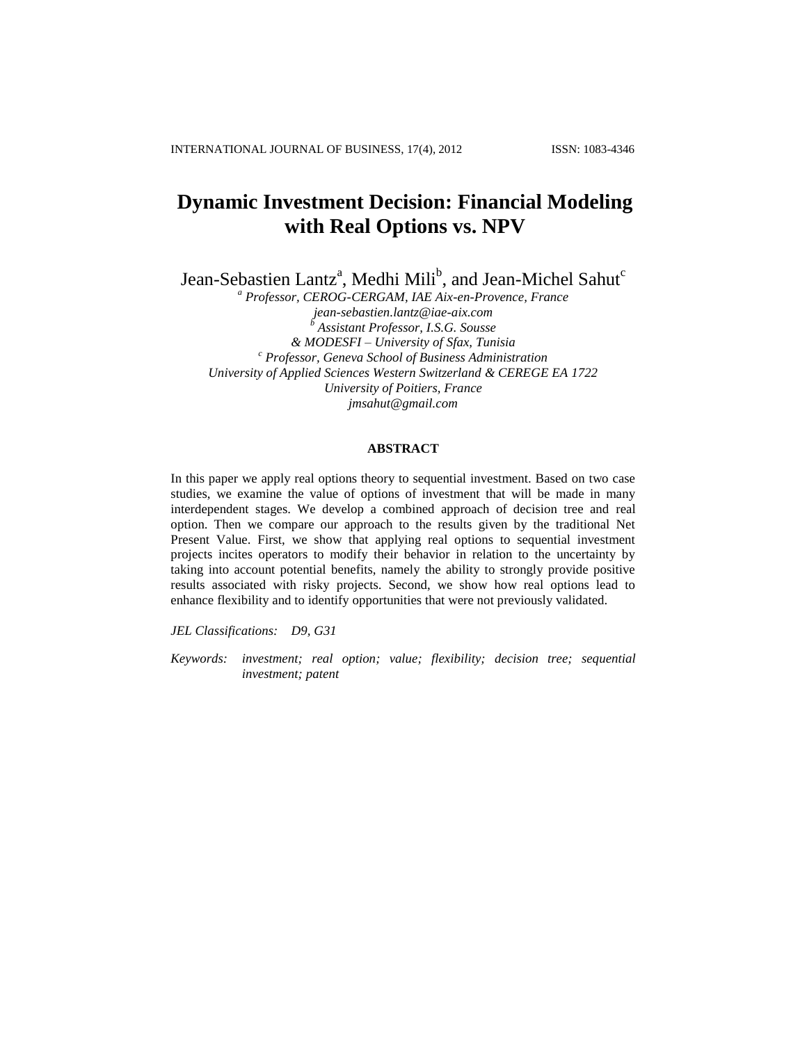# **Dynamic Investment Decision: Financial Modeling with Real Options vs. NPV**

Jean-Sebastien Lantz<sup>a</sup>, Medhi Mili<sup>b</sup>, and Jean-Michel Sahut<sup>c</sup>

*<sup>a</sup> Professor, CEROG-CERGAM, IAE Aix-en-Provence, France jean-sebastien.lantz@iae-aix.com <sup>b</sup> Assistant Professor, I.S.G. Sousse & MODESFI – University of Sfax, Tunisia <sup>c</sup> Professor, Geneva School of Business Administration University of Applied Sciences Western Switzerland & CEREGE EA 1722 University of Poitiers, France [jmsahut@gmail.com](mailto:jmsahut@gmail.com)*

## **ABSTRACT**

In this paper we apply real options theory to sequential investment. Based on two case studies, we examine the value of options of investment that will be made in many interdependent stages. We develop a combined approach of decision tree and real option. Then we compare our approach to the results given by the traditional Net Present Value. First, we show that applying real options to sequential investment projects incites operators to modify their behavior in relation to the uncertainty by taking into account potential benefits, namely the ability to strongly provide positive results associated with risky projects. Second, we show how real options lead to enhance flexibility and to identify opportunities that were not previously validated.

*JEL Classifications: D9, G31* 

*Keywords: investment; real option; value; flexibility; decision tree; sequential investment; patent*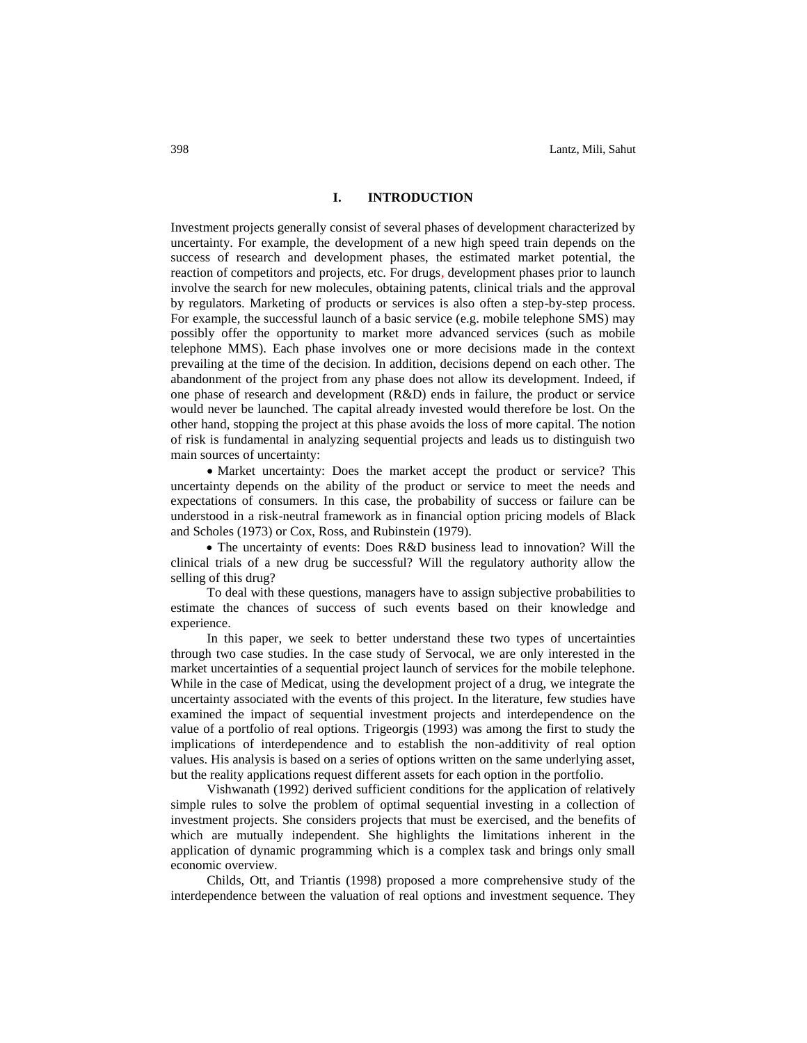### **I. INTRODUCTION**

Investment projects generally consist of several phases of development characterized by uncertainty. For example, the development of a new high speed train depends on the success of research and development phases, the estimated market potential, the reaction of competitors and projects, etc. For drugs, development phases prior to launch involve the search for new molecules, obtaining patents, clinical trials and the approval by regulators. Marketing of products or services is also often a step-by-step process. For example, the successful launch of a basic service (e.g. mobile telephone SMS) may possibly offer the opportunity to market more advanced services (such as mobile telephone MMS). Each phase involves one or more decisions made in the context prevailing at the time of the decision. In addition, decisions depend on each other. The abandonment of the project from any phase does not allow its development. Indeed, if one phase of research and development (R&D) ends in failure, the product or service would never be launched. The capital already invested would therefore be lost. On the other hand, stopping the project at this phase avoids the loss of more capital. The notion of risk is fundamental in analyzing sequential projects and leads us to distinguish two main sources of uncertainty:

 Market uncertainty: Does the market accept the product or service? This uncertainty depends on the ability of the product or service to meet the needs and expectations of consumers. In this case, the probability of success or failure can be understood in a risk-neutral framework as in financial option pricing models of Black and Scholes (1973) or Cox, Ross, and Rubinstein (1979).

• The uncertainty of events: Does R&D business lead to innovation? Will the clinical trials of a new drug be successful? Will the regulatory authority allow the selling of this drug?

To deal with these questions, managers have to assign subjective probabilities to estimate the chances of success of such events based on their knowledge and experience.

In this paper, we seek to better understand these two types of uncertainties through two case studies. In the case study of Servocal, we are only interested in the market uncertainties of a sequential project launch of services for the mobile telephone. While in the case of Medicat, using the development project of a drug, we integrate the uncertainty associated with the events of this project. In the literature, few studies have examined the impact of sequential investment projects and interdependence on the value of a portfolio of real options. Trigeorgis (1993) was among the first to study the implications of interdependence and to establish the non-additivity of real option values. His analysis is based on a series of options written on the same underlying asset, but the reality applications request different assets for each option in the portfolio.

Vishwanath (1992) derived sufficient conditions for the application of relatively simple rules to solve the problem of optimal sequential investing in a collection of investment projects. She considers projects that must be exercised, and the benefits of which are mutually independent. She highlights the limitations inherent in the application of dynamic programming which is a complex task and brings only small economic overview.

Childs, Ott, and Triantis (1998) proposed a more comprehensive study of the interdependence between the valuation of real options and investment sequence. They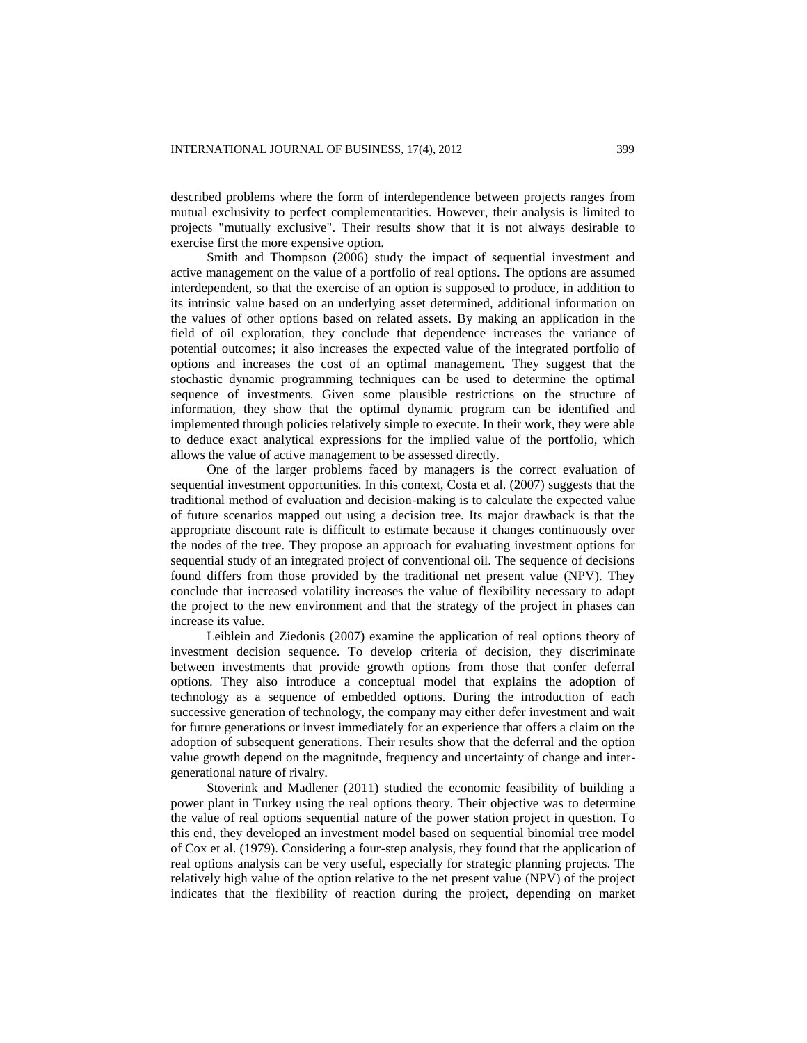described problems where the form of interdependence between projects ranges from mutual exclusivity to perfect complementarities. However, their analysis is limited to projects "mutually exclusive". Their results show that it is not always desirable to exercise first the more expensive option.

Smith and Thompson (2006) study the impact of sequential investment and active management on the value of a portfolio of real options. The options are assumed interdependent, so that the exercise of an option is supposed to produce, in addition to its intrinsic value based on an underlying asset determined, additional information on the values of other options based on related assets. By making an application in the field of oil exploration, they conclude that dependence increases the variance of potential outcomes; it also increases the expected value of the integrated portfolio of options and increases the cost of an optimal management. They suggest that the stochastic dynamic programming techniques can be used to determine the optimal sequence of investments. Given some plausible restrictions on the structure of information, they show that the optimal dynamic program can be identified and implemented through policies relatively simple to execute. In their work, they were able to deduce exact analytical expressions for the implied value of the portfolio, which allows the value of active management to be assessed directly.

One of the larger problems faced by managers is the correct evaluation of sequential investment opportunities. In this context, Costa et al. (2007) suggests that the traditional method of evaluation and decision-making is to calculate the expected value of future scenarios mapped out using a decision tree. Its major drawback is that the appropriate discount rate is difficult to estimate because it changes continuously over the nodes of the tree. They propose an approach for evaluating investment options for sequential study of an integrated project of conventional oil. The sequence of decisions found differs from those provided by the traditional net present value (NPV). They conclude that increased volatility increases the value of flexibility necessary to adapt the project to the new environment and that the strategy of the project in phases can increase its value.

Leiblein and Ziedonis (2007) examine the application of real options theory of investment decision sequence. To develop criteria of decision, they discriminate between investments that provide growth options from those that confer deferral options. They also introduce a conceptual model that explains the adoption of technology as a sequence of embedded options. During the introduction of each successive generation of technology, the company may either defer investment and wait for future generations or invest immediately for an experience that offers a claim on the adoption of subsequent generations. Their results show that the deferral and the option value growth depend on the magnitude, frequency and uncertainty of change and intergenerational nature of rivalry.

Stoverink and Madlener (2011) studied the economic feasibility of building a power plant in Turkey using the real options theory. Their objective was to determine the value of real options sequential nature of the power station project in question. To this end, they developed an investment model based on sequential binomial tree model of Cox et al. (1979). Considering a four-step analysis, they found that the application of real options analysis can be very useful, especially for strategic planning projects. The relatively high value of the option relative to the net present value (NPV) of the project indicates that the flexibility of reaction during the project, depending on market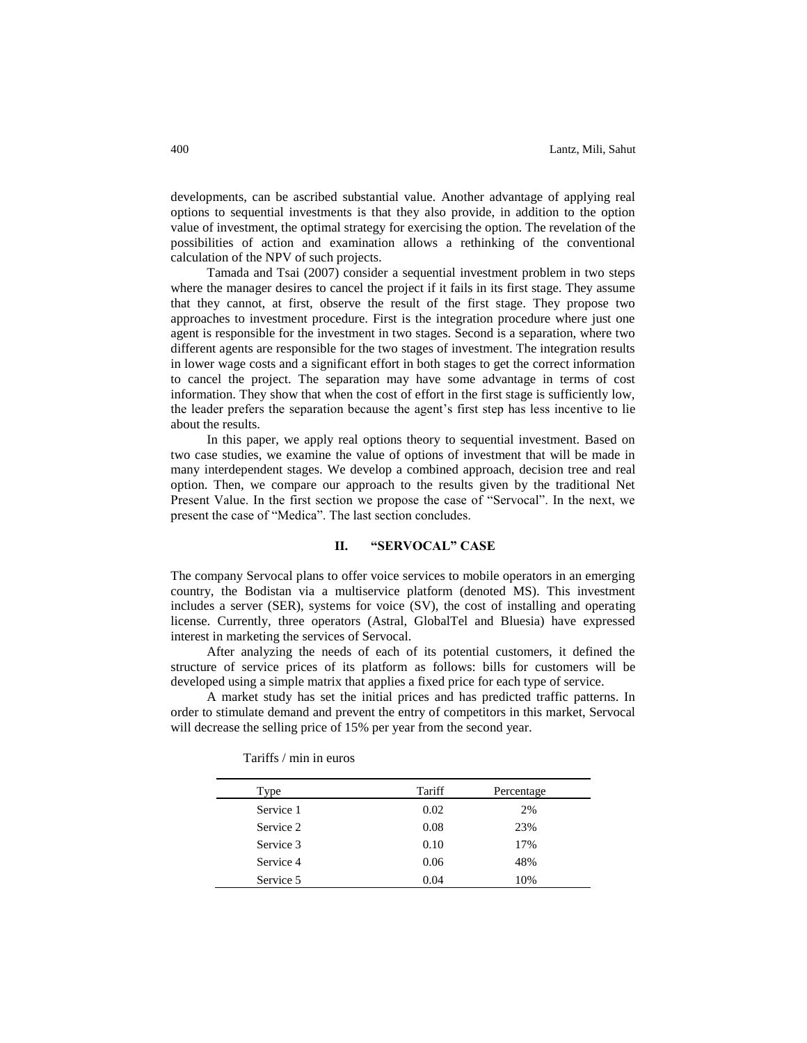developments, can be ascribed substantial value. Another advantage of applying real options to sequential investments is that they also provide, in addition to the option value of investment, the optimal strategy for exercising the option. The revelation of the possibilities of action and examination allows a rethinking of the conventional calculation of the NPV of such projects.

Tamada and Tsai (2007) consider a sequential investment problem in two steps where the manager desires to cancel the project if it fails in its first stage. They assume that they cannot, at first, observe the result of the first stage. They propose two approaches to investment procedure. First is the integration procedure where just one agent is responsible for the investment in two stages. Second is a separation, where two different agents are responsible for the two stages of investment. The integration results in lower wage costs and a significant effort in both stages to get the correct information to cancel the project. The separation may have some advantage in terms of cost information. They show that when the cost of effort in the first stage is sufficiently low, the leader prefers the separation because the agent's first step has less incentive to lie about the results.

In this paper, we apply real options theory to sequential investment. Based on two case studies, we examine the value of options of investment that will be made in many interdependent stages. We develop a combined approach, decision tree and real option. Then, we compare our approach to the results given by the traditional Net Present Value. In the first section we propose the case of "Servocal". In the next, we present the case of "Medica". The last section concludes.

#### **II. "SERVOCAL" CASE**

The company Servocal plans to offer voice services to mobile operators in an emerging country, the Bodistan via a multiservice platform (denoted MS). This investment includes a server (SER), systems for voice (SV), the cost of installing and operating license. Currently, three operators (Astral, GlobalTel and Bluesia) have expressed interest in marketing the services of Servocal.

After analyzing the needs of each of its potential customers, it defined the structure of service prices of its platform as follows: bills for customers will be developed using a simple matrix that applies a fixed price for each type of service.

A market study has set the initial prices and has predicted traffic patterns. In order to stimulate demand and prevent the entry of competitors in this market, Servocal will decrease the selling price of 15% per year from the second year.

| Type      | Tariff | Percentage |  |
|-----------|--------|------------|--|
| Service 1 | 0.02   | 2%         |  |
| Service 2 | 0.08   | 23%        |  |
| Service 3 | 0.10   | 17%        |  |
| Service 4 | 0.06   | 48%        |  |
| Service 5 | 0.04   | 10%        |  |

Tariffs / min in euros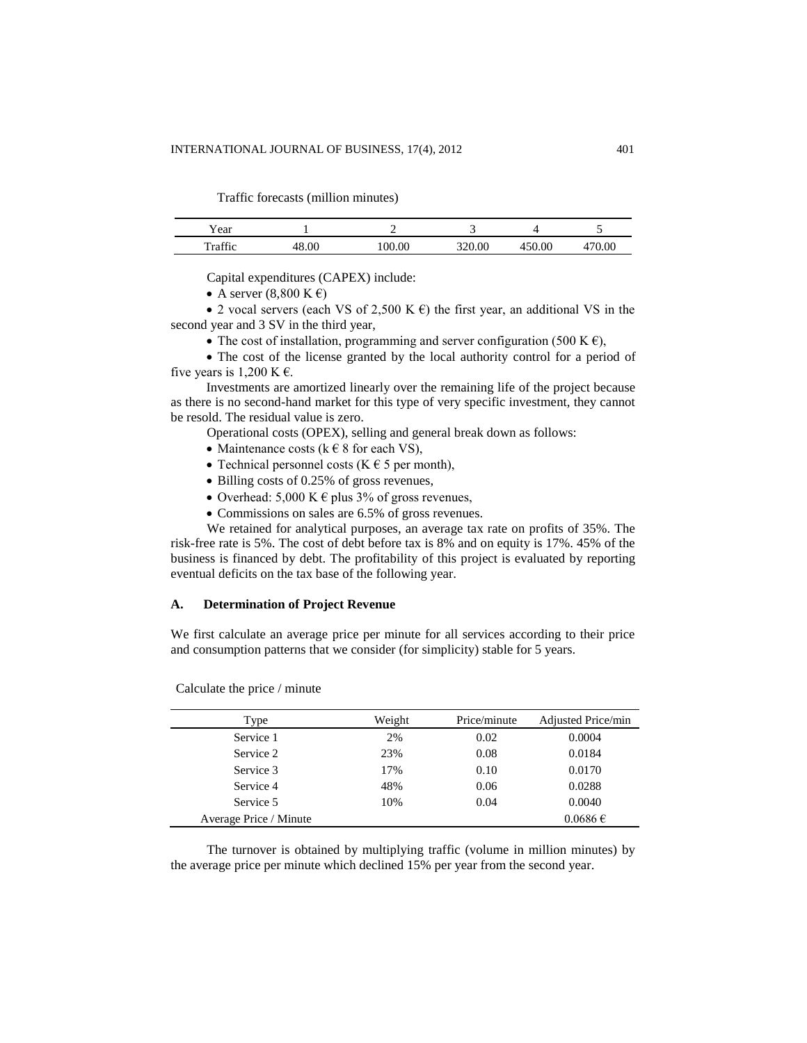Traffic forecasts (million minutes)

| Year    |          |           | ◡        | $\overline{\phantom{a}}$ |
|---------|----------|-----------|----------|--------------------------|
| `raffic | $\Omega$ | 00<br>.00 | $0.00\,$ | .00                      |

Capital expenditures (CAPEX) include:

• A server  $(8,800 \text{ K } \in)$ 

• 2 vocal servers (each VS of 2,500 K  $\epsilon$ ) the first year, an additional VS in the second year and 3 SV in the third year,

• The cost of installation, programming and server configuration (500 K  $\epsilon$ ),

 The cost of the license granted by the local authority control for a period of five years is 1,200 K  $\epsilon$ .

Investments are amortized linearly over the remaining life of the project because as there is no second-hand market for this type of very specific investment, they cannot be resold. The residual value is zero.

Operational costs (OPEX), selling and general break down as follows:

- Maintenance costs ( $k \in 8$  for each VS),
- Technical personnel costs ( $K \in 5$  per month),
- Billing costs of 0.25% of gross revenues,
- Overhead: 5,000 K  $\epsilon$  plus 3% of gross revenues,
- Commissions on sales are 6.5% of gross revenues.

We retained for analytical purposes, an average tax rate on profits of 35%. The risk-free rate is 5%. The cost of debt before tax is 8% and on equity is 17%. 45% of the business is financed by debt. The profitability of this project is evaluated by reporting eventual deficits on the tax base of the following year.

#### **A. Determination of Project Revenue**

We first calculate an average price per minute for all services according to their price and consumption patterns that we consider (for simplicity) stable for 5 years.

| Type                   | Weight | Price/minute | Adjusted Price/min |
|------------------------|--------|--------------|--------------------|
| Service 1              | 2%     | 0.02         | 0.0004             |
| Service 2              | 23%    | 0.08         | 0.0184             |
| Service 3              | 17%    | 0.10         | 0.0170             |
| Service 4              | 48%    | 0.06         | 0.0288             |
| Service 5              | 10%    | 0.04         | 0.0040             |
| Average Price / Minute |        |              | $0.0686 \in$       |

Calculate the price / minute

The turnover is obtained by multiplying traffic (volume in million minutes) by the average price per minute which declined 15% per year from the second year.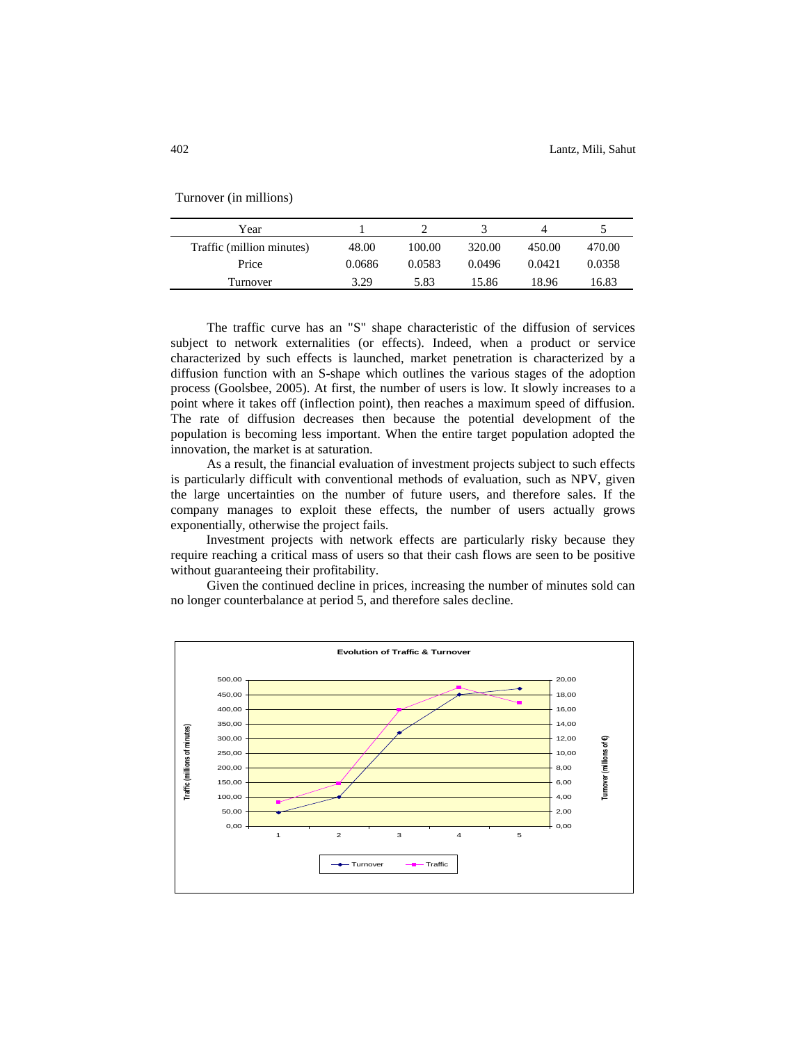Turnover (in millions)

| Year                      |        |        |        | 4      |        |
|---------------------------|--------|--------|--------|--------|--------|
| Traffic (million minutes) | 48.00  | 100.00 | 320.00 | 450.00 | 470.00 |
| Price                     | 0.0686 | 0.0583 | 0.0496 | 0.0421 | 0.0358 |
| Turnover                  | 3.29   | 5.83   | 15.86  | 18.96  | 16.83  |

The traffic curve has an "S" shape characteristic of the diffusion of services subject to network externalities (or effects). Indeed, when a product or service characterized by such effects is launched, market penetration is characterized by a diffusion function with an S-shape which outlines the various stages of the adoption process (Goolsbee, 2005). At first, the number of users is low. It slowly increases to a point where it takes off (inflection point), then reaches a maximum speed of diffusion. The rate of diffusion decreases then because the potential development of the population is becoming less important. When the entire target population adopted the innovation, the market is at saturation.

As a result, the financial evaluation of investment projects subject to such effects is particularly difficult with conventional methods of evaluation, such as NPV, given the large uncertainties on the number of future users, and therefore sales. If the company manages to exploit these effects, the number of users actually grows exponentially, otherwise the project fails.

Investment projects with network effects are particularly risky because they require reaching a critical mass of users so that their cash flows are seen to be positive without guaranteeing their profitability.

Given the continued decline in prices, increasing the number of minutes sold can no longer counterbalance at period 5, and therefore sales decline.

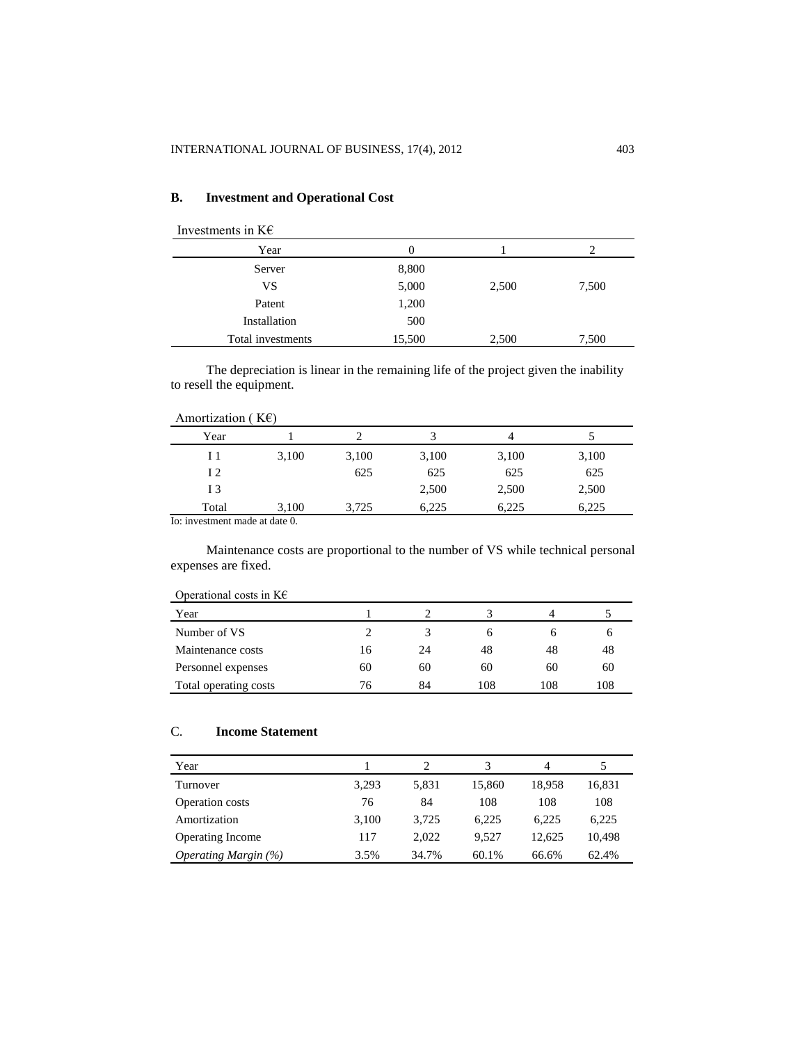# **B. Investment and Operational Cost**

|  | Investments in $K \in$ |  |  |
|--|------------------------|--|--|
|--|------------------------|--|--|

| mocoments in Re   |          |       |       |
|-------------------|----------|-------|-------|
| Year              | $\theta$ |       |       |
| Server            | 8,800    |       |       |
| VS                | 5,000    | 2,500 | 7,500 |
| Patent            | 1,200    |       |       |
| Installation      | 500      |       |       |
| Total investments | 15,500   | 2,500 | 7,500 |

 The depreciation is linear in the remaining life of the project given the inability to resell the equipment.

| Amortization ( $K\epsilon$ ) |       |       |       |       |       |
|------------------------------|-------|-------|-------|-------|-------|
| Year                         |       |       |       |       |       |
| Ι1                           | 3,100 | 3,100 | 3,100 | 3,100 | 3,100 |
| 12                           |       | 625   | 625   | 625   | 625   |
| I 3                          |       |       | 2,500 | 2,500 | 2,500 |
| Total                        | 3,100 | 3,725 | 6,225 | 6,225 | 6,225 |

Io: investment made at date 0.

 Maintenance costs are proportional to the number of VS while technical personal expenses are fixed.

| Operational costs in $K\epsilon$ |    |    |     |     |     |
|----------------------------------|----|----|-----|-----|-----|
| Year                             |    |    |     |     |     |
| Number of VS                     |    |    |     |     |     |
| Maintenance costs                | 16 | 24 | 48  | 48  | 48  |
| Personnel expenses               | 60 | 60 | 60  | 60  | 60  |
| Total operating costs            | 76 | 84 | 108 | 108 | 108 |

# C. **Income Statement**

| Year                        |       |       |        | 4      |        |
|-----------------------------|-------|-------|--------|--------|--------|
| Turnover                    | 3,293 | 5.831 | 15.860 | 18.958 | 16,831 |
| Operation costs             | 76    | 84    | 108    | 108    | 108    |
| Amortization                | 3,100 | 3.725 | 6.225  | 6.225  | 6,225  |
| <b>Operating Income</b>     | 117   | 2.022 | 9.527  | 12.625 | 10,498 |
| <i>Operating Margin</i> (%) | 3.5%  | 34.7% | 60.1%  | 66.6%  | 62.4%  |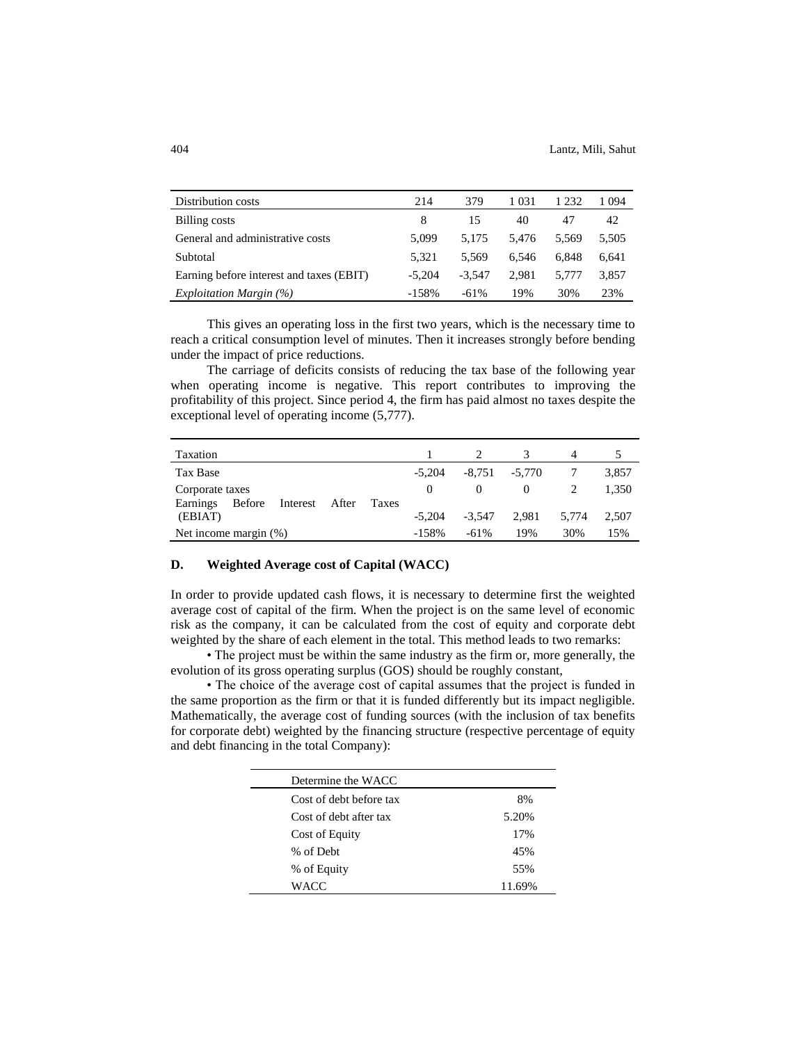| Distribution costs                       | 214      | 379      | 1 031 | 1 232 | 1 0 9 4 |
|------------------------------------------|----------|----------|-------|-------|---------|
| Billing costs                            | 8        | 15       | 40    | 47    | 42      |
| General and administrative costs         | 5.099    | 5.175    | 5.476 | 5.569 | 5.505   |
| Subtotal                                 | 5.321    | 5.569    | 6.546 | 6.848 | 6.641   |
| Earning before interest and taxes (EBIT) | $-5.204$ | $-3.547$ | 2.981 | 5.777 | 3.857   |
| Exploitation Margin $(\%)$               | $-158%$  | $-61%$   | 19%   | 30%   | 23%     |

 This gives an operating loss in the first two years, which is the necessary time to reach a critical consumption level of minutes. Then it increases strongly before bending under the impact of price reductions.

The carriage of deficits consists of reducing the tax base of the following year when operating income is negative. This report contributes to improving the profitability of this project. Since period 4, the firm has paid almost no taxes despite the exceptional level of operating income (5,777).

| Taxation                                                    |          |          |          | 4     |       |
|-------------------------------------------------------------|----------|----------|----------|-------|-------|
| Tax Base                                                    | $-5.204$ | -8.751   | $-5.770$ |       | 3,857 |
| Corporate taxes                                             | $\theta$ | 0        |          |       | 1.350 |
| Before<br>Earnings<br>Interest<br>After<br>Taxes<br>(EBIAT) | $-5.204$ | $-3.547$ | 2.981    | 5.774 | 2,507 |
| Net income margin $(\%)$                                    | $-158%$  | $-61%$   | 19%      | 30%   | 15%   |

# **D. Weighted Average cost of Capital (WACC)**

In order to provide updated cash flows, it is necessary to determine first the weighted average cost of capital of the firm. When the project is on the same level of economic risk as the company, it can be calculated from the cost of equity and corporate debt weighted by the share of each element in the total. This method leads to two remarks:

• The project must be within the same industry as the firm or, more generally, the evolution of its gross operating surplus (GOS) should be roughly constant,

• The choice of the average cost of capital assumes that the project is funded in the same proportion as the firm or that it is funded differently but its impact negligible. Mathematically, the average cost of funding sources (with the inclusion of tax benefits for corporate debt) weighted by the financing structure (respective percentage of equity and debt financing in the total Company):

| Determine the WACC      |        |
|-------------------------|--------|
| Cost of debt before tax | 8%     |
| Cost of debt after tax  | 5.20%  |
| Cost of Equity          | 17%    |
| % of Debt               | 45%    |
| % of Equity             | 55%    |
| WACC                    | 11.69% |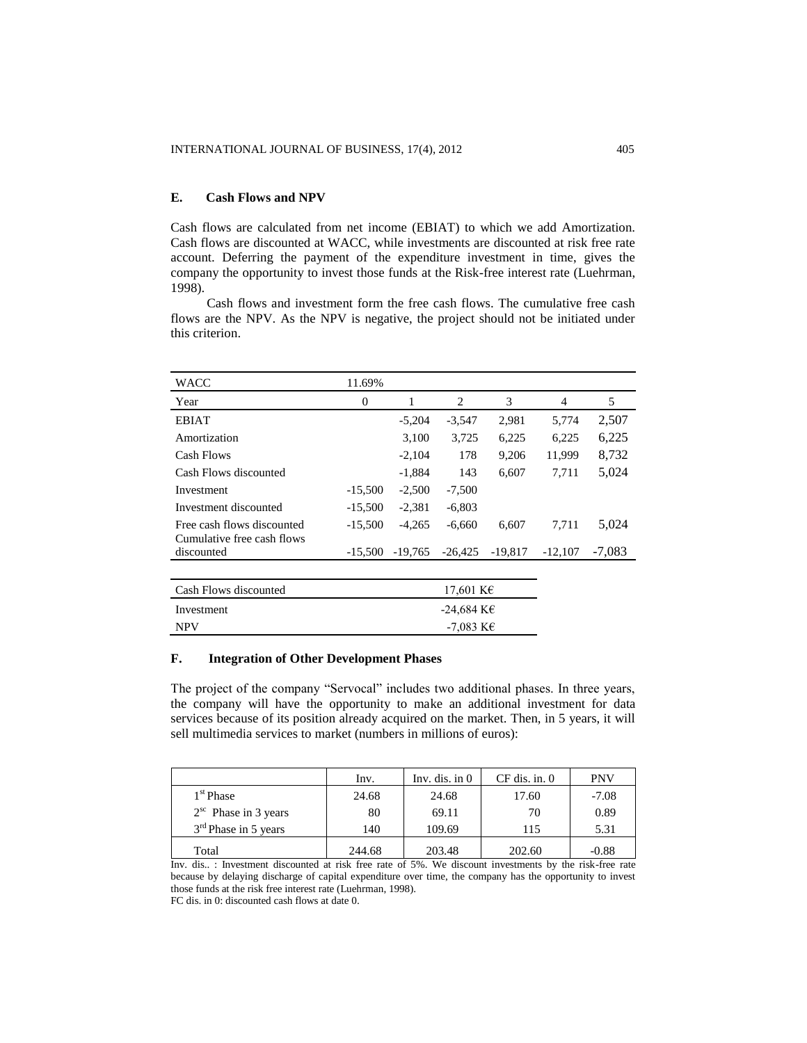# **E. Cash Flows and NPV**

Cash flows are calculated from net income (EBIAT) to which we add Amortization. Cash flows are discounted at WACC, while investments are discounted at risk free rate account. Deferring the payment of the expenditure investment in time, gives the company the opportunity to invest those funds at the Risk-free interest rate (Luehrman, 1998).

Cash flows and investment form the free cash flows. The cumulative free cash flows are the NPV. As the NPV is negative, the project should not be initiated under this criterion.

| <b>WACC</b>                              | 11.69%    |           |                     |           |           |          |
|------------------------------------------|-----------|-----------|---------------------|-----------|-----------|----------|
| Year                                     | 0         | 1         | 2                   | 3         | 4         | 5        |
| <b>EBIAT</b>                             |           | $-5,204$  | $-3,547$            | 2,981     | 5,774     | 2,507    |
| Amortization                             |           | 3,100     | 3,725               | 6,225     | 6,225     | 6,225    |
| Cash Flows                               |           | $-2,104$  | 178                 | 9,206     | 11,999    | 8,732    |
| Cash Flows discounted                    |           | $-1,884$  | 143                 | 6,607     | 7.711     | 5,024    |
| Investment                               | $-15,500$ | $-2.500$  | $-7.500$            |           |           |          |
| Investment discounted                    | $-15,500$ | $-2.381$  | $-6,803$            |           |           |          |
| Free cash flows discounted               | $-15,500$ | $-4,265$  | $-6,660$            | 6,607     | 7.711     | 5,024    |
| Cumulative free cash flows<br>discounted | $-15,500$ | $-19.765$ | $-26.425$           | $-19,817$ | $-12,107$ | $-7,083$ |
|                                          |           |           |                     |           |           |          |
| Cash Flows discounted                    |           |           | 17,601 K $\epsilon$ |           |           |          |

#### **F. Integration of Other Development Phases**

Investment  $-24,684 \text{ K}\epsilon$ NPV  $-7,083$  K $\epsilon$ 

The project of the company "Servocal" includes two additional phases. In three years, the company will have the opportunity to make an additional investment for data services because of its position already acquired on the market. Then, in 5 years, it will sell multimedia services to market (numbers in millions of euros):

|                        | Inv.   | Inv. dis. in $0$ | $CF$ dis. in. $0$ | <b>PNV</b> |
|------------------------|--------|------------------|-------------------|------------|
| $1st$ Phase            | 24.68  | 24.68            | 17.60             | $-7.08$    |
| $2sc$ Phase in 3 years | 80     | 69.11            | 70                | 0.89       |
| $3rd$ Phase in 5 years | 140    | 109.69           | 115               | 5.31       |
| Total                  | 244.68 | 203.48           | 202.60            | $-0.88$    |

Inv. dis.. : Investment discounted at risk free rate of 5%. We discount investments by the risk-free rate because by delaying discharge of capital expenditure over time, the company has the opportunity to invest those funds at the risk free interest rate (Luehrman, 1998). FC dis. in 0: discounted cash flows at date 0.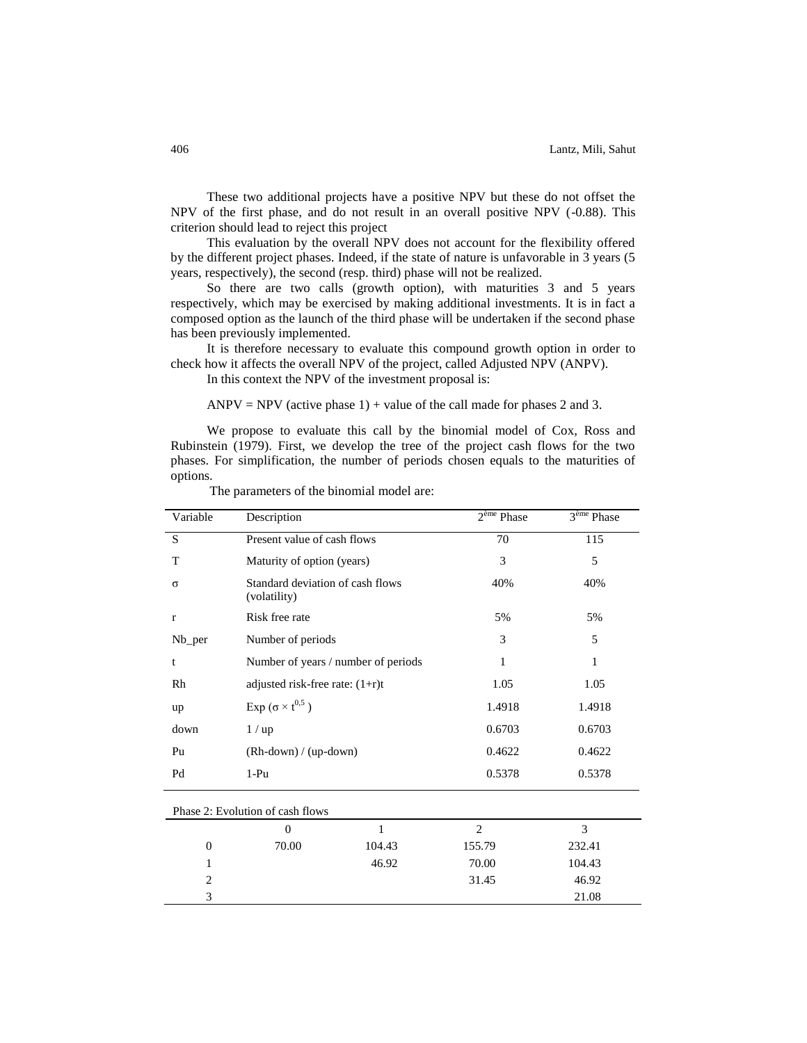These two additional projects have a positive NPV but these do not offset the NPV of the first phase, and do not result in an overall positive NPV (-0.88). This criterion should lead to reject this project

This evaluation by the overall NPV does not account for the flexibility offered by the different project phases. Indeed, if the state of nature is unfavorable in 3 years (5 years, respectively), the second (resp. third) phase will not be realized.

So there are two calls (growth option), with maturities 3 and 5 years respectively, which may be exercised by making additional investments. It is in fact a composed option as the launch of the third phase will be undertaken if the second phase has been previously implemented.

It is therefore necessary to evaluate this compound growth option in order to check how it affects the overall NPV of the project, called Adjusted NPV (ANPV).

In this context the NPV of the investment proposal is:

 $ANY = NPV$  (active phase 1) + value of the call made for phases 2 and 3.

We propose to evaluate this call by the binomial model of Cox, Ross and Rubinstein (1979). First, we develop the tree of the project cash flows for the two phases. For simplification, the number of periods chosen equals to the maturities of options.

| Variable                         | Description                                      |        | $2eme$ Phase   | 3 <sup>ème</sup> Phase |  |  |  |
|----------------------------------|--------------------------------------------------|--------|----------------|------------------------|--|--|--|
| S                                | Present value of cash flows                      |        | 70             | 115                    |  |  |  |
| T                                | Maturity of option (years)                       |        | 3              | 5                      |  |  |  |
| $\sigma$                         | Standard deviation of cash flows<br>(volatility) |        | 40%            | 40%                    |  |  |  |
| $\mathbf r$                      | Risk free rate                                   |        | 5%             | 5%                     |  |  |  |
| Nb_per                           | Number of periods                                |        | 3              | 5                      |  |  |  |
| t                                | Number of years / number of periods              |        | $\mathbf{1}$   | $\mathbf{1}$           |  |  |  |
| Rh                               | adjusted risk-free rate: $(1+r)t$                |        | 1.05           | 1.05                   |  |  |  |
| up                               | Exp ( $\sigma \times t^{0,5}$ )                  |        | 1.4918         | 1.4918                 |  |  |  |
| down                             | $1/\text{up}$                                    |        | 0.6703         | 0.6703                 |  |  |  |
| Pu                               | $(Rh\text{-down}) / (up\text{-down})$            |        | 0.4622         | 0.4622                 |  |  |  |
| Pd                               | $1-Pu$                                           |        | 0.5378         | 0.5378                 |  |  |  |
| Phase 2: Evolution of cash flows |                                                  |        |                |                        |  |  |  |
|                                  | $\theta$                                         | 1      | $\overline{2}$ | 3                      |  |  |  |
| $\boldsymbol{0}$                 | 70.00                                            | 104.43 | 155.79         | 232.41                 |  |  |  |
| 1                                |                                                  | 46.92  | 70.00          | 104.43                 |  |  |  |
| 2                                |                                                  |        | 31.45          | 46.92                  |  |  |  |
| 3                                |                                                  |        |                | 21.08                  |  |  |  |

The parameters of the binomial model are: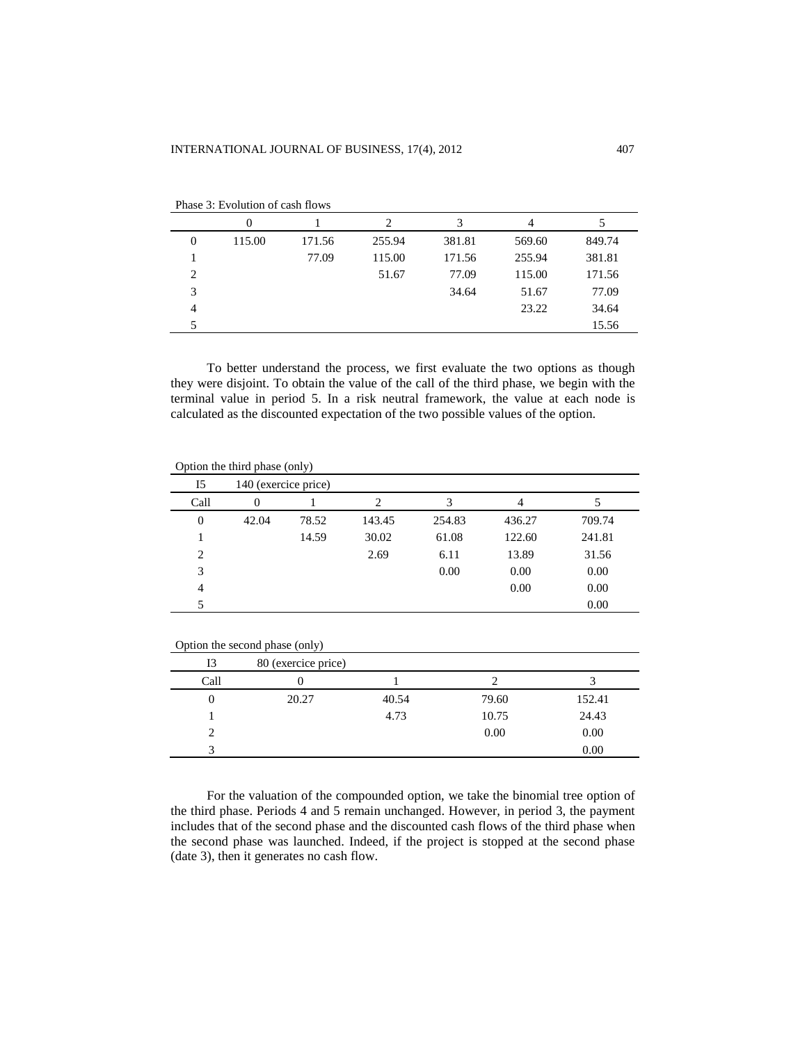|                | $\Omega$ |        | $\mathfrak{D}_{\mathfrak{p}}$ | 3      | $\overline{4}$ |        |
|----------------|----------|--------|-------------------------------|--------|----------------|--------|
| $\overline{0}$ | 115.00   | 171.56 | 255.94                        | 381.81 | 569.60         | 849.74 |
|                |          | 77.09  | 115.00                        | 171.56 | 255.94         | 381.81 |
| $\overline{c}$ |          |        | 51.67                         | 77.09  | 115.00         | 171.56 |
| 3              |          |        |                               | 34.64  | 51.67          | 77.09  |
| $\overline{4}$ |          |        |                               |        | 23.22          | 34.64  |
|                |          |        |                               |        |                | 15.56  |

Phase 3: Evolution of cash flows

To better understand the process, we first evaluate the two options as though they were disjoint. To obtain the value of the call of the third phase, we begin with the terminal value in period 5. In a risk neutral framework, the value at each node is calculated as the discounted expectation of the two possible values of the option.

|                | $\sigma$ $\mu$ <sub>1</sub> , $\mu$ <sub>1</sub> , $\mu$ <sub>1</sub> , $\sigma$ <sub>1</sub> , $\sigma$ <sub>1</sub> , $\sigma$ <sub>1</sub> , $\sigma$ <sub>1</sub> , $\sigma$ <sub>1</sub> , $\sigma$ <sub>1</sub> , $\sigma$ <sub>1</sub> , $\sigma$ <sub>1</sub> , $\sigma$ <sub>1</sub> , $\sigma$ <sub>1</sub> , $\sigma$ <sub>1</sub> , $\sigma$ <sub>1</sub> , $\sigma$ <sub>1</sub> , $\sigma$ <sub>1</sub> , $\sigma$ <sub>1</sub> , $\sigma$ <sub>1</sub> , $\sigma$ <sub>1</sub> , $\sigma$ <sub>1</sub> , $\sigma$ <sub>1</sub> , $\sigma$ <sub>1</sub> , $\sigma$ <sub>1</sub> , |       |        |        |        |        |
|----------------|-------------------------------------------------------------------------------------------------------------------------------------------------------------------------------------------------------------------------------------------------------------------------------------------------------------------------------------------------------------------------------------------------------------------------------------------------------------------------------------------------------------------------------------------------------------------------------------------------|-------|--------|--------|--------|--------|
| I5             | 140 (exercice price)                                                                                                                                                                                                                                                                                                                                                                                                                                                                                                                                                                            |       |        |        |        |        |
| Call           | $\Omega$                                                                                                                                                                                                                                                                                                                                                                                                                                                                                                                                                                                        |       | 2      | 3      | 4      |        |
| 0              | 42.04                                                                                                                                                                                                                                                                                                                                                                                                                                                                                                                                                                                           | 78.52 | 143.45 | 254.83 | 436.27 | 709.74 |
|                |                                                                                                                                                                                                                                                                                                                                                                                                                                                                                                                                                                                                 | 14.59 | 30.02  | 61.08  | 122.60 | 241.81 |
| $\overline{c}$ |                                                                                                                                                                                                                                                                                                                                                                                                                                                                                                                                                                                                 |       | 2.69   | 6.11   | 13.89  | 31.56  |
| 3              |                                                                                                                                                                                                                                                                                                                                                                                                                                                                                                                                                                                                 |       |        | 0.00   | 0.00   | 0.00   |
| 4              |                                                                                                                                                                                                                                                                                                                                                                                                                                                                                                                                                                                                 |       |        |        | 0.00   | 0.00   |
| 5              |                                                                                                                                                                                                                                                                                                                                                                                                                                                                                                                                                                                                 |       |        |        |        | 0.00   |

Option the third phase (only)

| 13   | 80 (exercice price) |       |       |        |
|------|---------------------|-------|-------|--------|
| Call |                     |       |       |        |
| 0    | 20.27               | 40.54 | 79.60 | 152.41 |
|      |                     | 4.73  | 10.75 | 24.43  |
|      |                     |       | 0.00  | 0.00   |
|      |                     |       |       | 0.00   |

Option the second phase (only)

For the valuation of the compounded option, we take the binomial tree option of the third phase. Periods 4 and 5 remain unchanged. However, in period 3, the payment includes that of the second phase and the discounted cash flows of the third phase when the second phase was launched. Indeed, if the project is stopped at the second phase (date 3), then it generates no cash flow.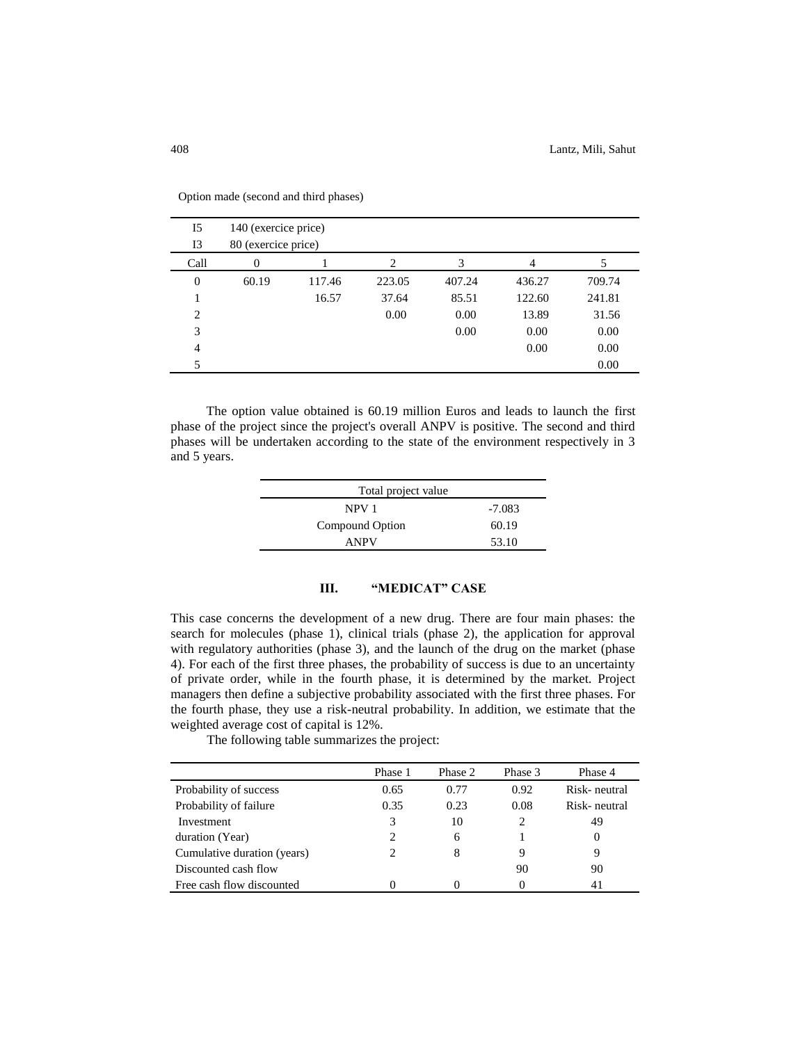| I5<br>I3       | 140 (exercice price)<br>80 (exercice price) |        |        |        |        |        |
|----------------|---------------------------------------------|--------|--------|--------|--------|--------|
| Call           |                                             |        | 2      | 3      |        |        |
| $\overline{0}$ | 60.19                                       | 117.46 | 223.05 | 407.24 | 436.27 | 709.74 |
|                |                                             | 16.57  | 37.64  | 85.51  | 122.60 | 241.81 |
| $\overline{2}$ |                                             |        | 0.00   | 0.00   | 13.89  | 31.56  |
| 3              |                                             |        |        | 0.00   | 0.00   | 0.00   |
| 4              |                                             |        |        |        | 0.00   | 0.00   |
| 5              |                                             |        |        |        |        | 0.00   |

Option made (second and third phases)

The option value obtained is 60.19 million Euros and leads to launch the first phase of the project since the project's overall ANPV is positive. The second and third phases will be undertaken according to the state of the environment respectively in 3 and 5 years.

| Total project value |          |
|---------------------|----------|
| NPV 1               | $-7.083$ |
| Compound Option     | 60.19    |
| <b>ANPV</b>         | 53.10    |

### **III. "MEDICAT" CASE**

This case concerns the development of a new drug. There are four main phases: the search for molecules (phase 1), clinical trials (phase 2), the application for approval with regulatory authorities (phase 3), and the launch of the drug on the market (phase 4). For each of the first three phases, the probability of success is due to an uncertainty of private order, while in the fourth phase, it is determined by the market. Project managers then define a subjective probability associated with the first three phases. For the fourth phase, they use a risk-neutral probability. In addition, we estimate that the weighted average cost of capital is 12%.

The following table summarizes the project:

|                             | Phase 1 | Phase 2 | Phase 3 | Phase 4      |
|-----------------------------|---------|---------|---------|--------------|
| Probability of success      | 0.65    | 0.77    | 0.92    | Risk-neutral |
| Probability of failure      | 0.35    | 0.23    | 0.08    | Risk-neutral |
| Investment                  | 3       | 10      | 2       | 49           |
| duration (Year)             | 2       | 6       |         | 0            |
| Cumulative duration (years) | າ       | 8       | 9       | 9            |
| Discounted cash flow        |         |         | 90      | 90           |
| Free cash flow discounted   |         |         | 0       | 41           |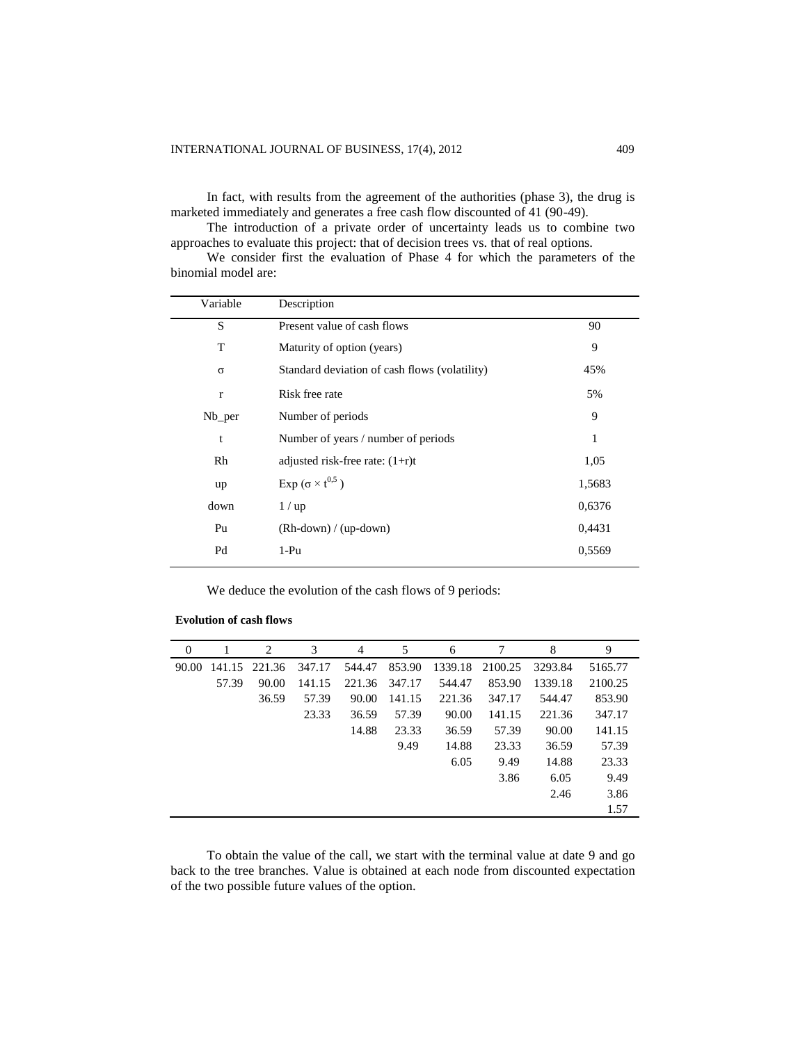In fact, with results from the agreement of the authorities (phase 3), the drug is marketed immediately and generates a free cash flow discounted of 41 (90-49).

The introduction of a private order of uncertainty leads us to combine two approaches to evaluate this project: that of decision trees vs. that of real options.

We consider first the evaluation of Phase 4 for which the parameters of the binomial model are:

| Variable | Description                                   |        |
|----------|-----------------------------------------------|--------|
| S        | Present value of cash flows                   | 90     |
| T        | Maturity of option (years)                    | 9      |
| σ        | Standard deviation of cash flows (volatility) | 45%    |
| r        | Risk free rate                                | 5%     |
| Nb_per   | Number of periods                             | 9      |
| t        | Number of years / number of periods           | 1      |
| Rh       | adjusted risk-free rate: $(1+r)t$             | 1,05   |
| up       | Exp ( $\sigma \times t^{0,5}$ )               | 1,5683 |
| down     | $1/\text{up}$                                 | 0,6376 |
| Pu       | $(Rh\text{-down}) / (up\text{-down})$         | 0,4431 |
| Pd       | $1-Pu$                                        | 0,5569 |
|          |                                               |        |

We deduce the evolution of the cash flows of 9 periods:

| <b>Evolution of cash flows</b> |  |  |  |
|--------------------------------|--|--|--|
|--------------------------------|--|--|--|

| $\Omega$ |        | 2      | 3      | 4      | 5      | 6       | 7       | 8       | 9       |
|----------|--------|--------|--------|--------|--------|---------|---------|---------|---------|
| 90.00    | 141.15 | 221.36 | 347.17 | 544.47 | 853.90 | 1339.18 | 2100.25 | 3293.84 | 5165.77 |
|          | 57.39  | 90.00  | 141.15 | 221.36 | 347.17 | 544.47  | 853.90  | 1339.18 | 2100.25 |
|          |        | 36.59  | 57.39  | 90.00  | 141.15 | 221.36  | 347.17  | 544.47  | 853.90  |
|          |        |        | 23.33  | 36.59  | 57.39  | 90.00   | 141.15  | 221.36  | 347.17  |
|          |        |        |        | 14.88  | 23.33  | 36.59   | 57.39   | 90.00   | 141.15  |
|          |        |        |        |        | 9.49   | 14.88   | 23.33   | 36.59   | 57.39   |
|          |        |        |        |        |        | 6.05    | 9.49    | 14.88   | 23.33   |
|          |        |        |        |        |        |         | 3.86    | 6.05    | 9.49    |
|          |        |        |        |        |        |         |         | 2.46    | 3.86    |
|          |        |        |        |        |        |         |         |         | 1.57    |

To obtain the value of the call, we start with the terminal value at date 9 and go back to the tree branches. Value is obtained at each node from discounted expectation of the two possible future values of the option.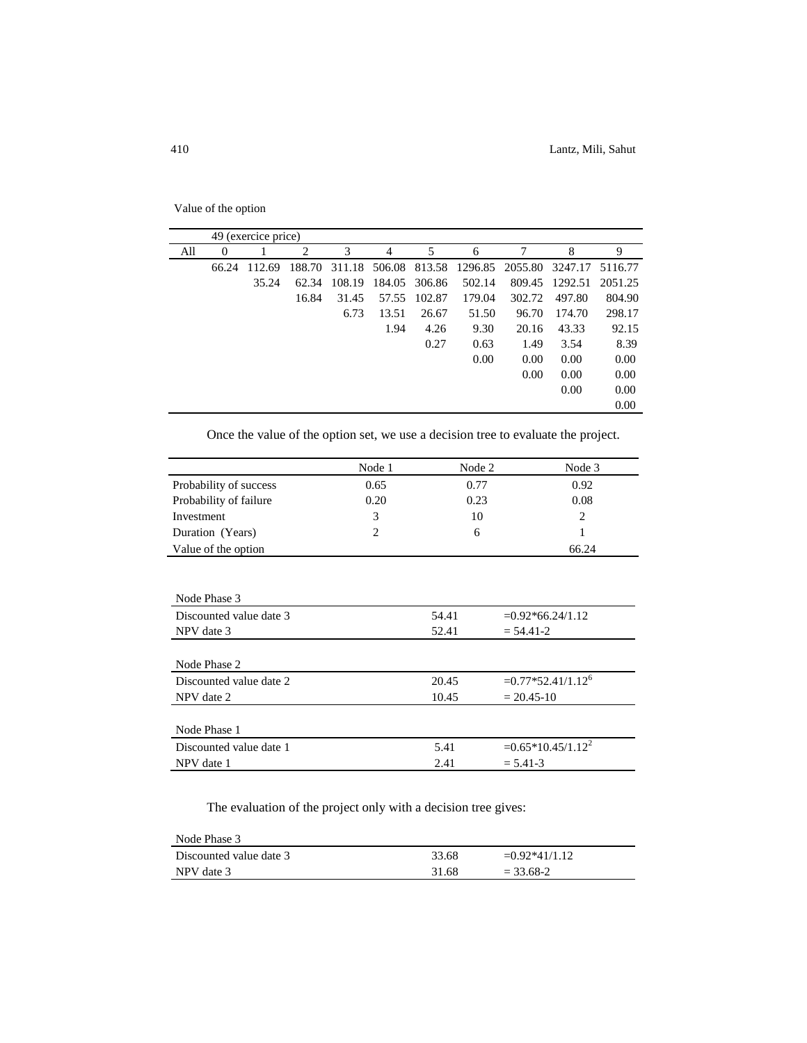Value of the option

| 49 (exercice price) |          |        |                |        |               |        |        |                                              |         |         |
|---------------------|----------|--------|----------------|--------|---------------|--------|--------|----------------------------------------------|---------|---------|
| All                 | $\Omega$ |        | $\overline{c}$ | 3      | 4             | 5      | 6      |                                              | 8       | 9       |
|                     | 66.24    | 112.69 | 188.70         |        |               |        |        | 311.18 506.08 813.58 1296.85 2055.80 3247.17 |         | 5116.77 |
|                     |          | 35.24  | 62.34          | 108.19 | 184.05 306.86 |        | 502.14 | 809.45                                       | 1292.51 | 2051.25 |
|                     |          |        | 16.84          | 31.45  | 57.55         | 102.87 | 179.04 | 302.72                                       | 497.80  | 804.90  |
|                     |          |        |                | 6.73   | 13.51         | 26.67  | 51.50  | 96.70                                        | 174.70  | 298.17  |
|                     |          |        |                |        | 1.94          | 4.26   | 9.30   | 20.16                                        | 43.33   | 92.15   |
|                     |          |        |                |        |               | 0.27   | 0.63   | 1.49                                         | 3.54    | 8.39    |
|                     |          |        |                |        |               |        | 0.00   | 0.00                                         | 0.00    | 0.00    |
|                     |          |        |                |        |               |        |        | 0.00                                         | 0.00    | 0.00    |
|                     |          |        |                |        |               |        |        |                                              | 0.00    | 0.00    |
|                     |          |        |                |        |               |        |        |                                              |         | 0.00    |

Once the value of the option set, we use a decision tree to evaluate the project.

|                         | Node 1         | Node 2 | Node 3               |
|-------------------------|----------------|--------|----------------------|
| Probability of success  | 0.65           | 0.77   | 0.92                 |
| Probability of failure  | 0.20           | 0.23   | 0.08                 |
| Investment              | 3              | 10     | $\overline{c}$       |
| Duration (Years)        | $\overline{2}$ | 6      |                      |
| Value of the option     |                |        | 66.24                |
|                         |                |        |                      |
|                         |                |        |                      |
| Node Phase 3            |                |        |                      |
| Discounted value date 3 |                | 54.41  | $=0.92*66.24/1.12$   |
| NPV date 3              |                | 52.41  | $= 54.41 - 2$        |
|                         |                |        |                      |
| Node Phase 2            |                |        |                      |
| Discounted value date 2 |                | 20.45  | $=0.77*52.41/1.12^6$ |
| NPV date 2              |                | 10.45  | $= 20.45 - 10$       |
|                         |                |        |                      |
| Node Phase 1            |                |        |                      |
| Discounted value date 1 |                | 5.41   | $=0.65*10.45/1.12^2$ |
| NPV date 1              |                | 2.41   | $= 5.41 - 3$         |

The evaluation of the project only with a decision tree gives:

| Node Phase 3            |       |                 |
|-------------------------|-------|-----------------|
| Discounted value date 3 | 33.68 | $=0.92*41/1.12$ |
| NPV date 3              | 31.68 | $= 33.68 - 2$   |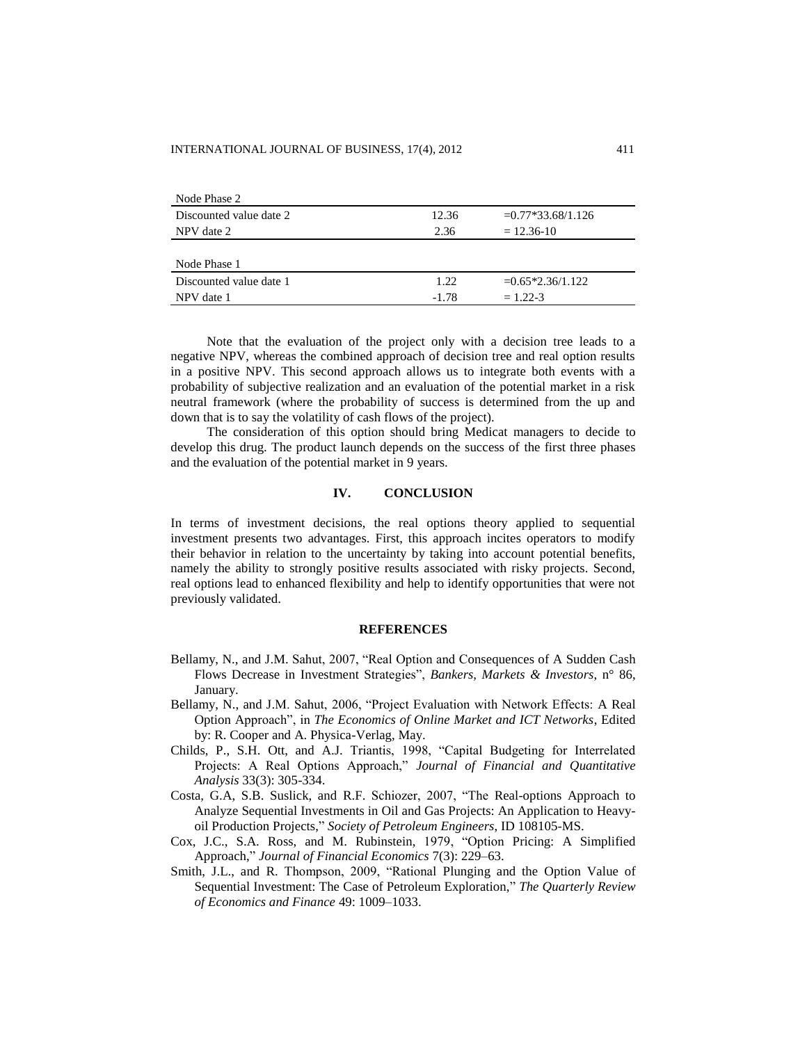| Node Phase 2            |         |                     |
|-------------------------|---------|---------------------|
| Discounted value date 2 | 12.36   | $=0.77*33.68/1.126$ |
| NPV date 2              | 2.36    | $= 12.36 - 10$      |
|                         |         |                     |
| Node Phase 1            |         |                     |
| Discounted value date 1 | 1.22    | $=0.65*2.36/1.122$  |
| NPV date 1              | $-1.78$ | $= 1.22 - 3$        |

Note that the evaluation of the project only with a decision tree leads to a negative NPV, whereas the combined approach of decision tree and real option results in a positive NPV. This second approach allows us to integrate both events with a probability of subjective realization and an evaluation of the potential market in a risk neutral framework (where the probability of success is determined from the up and down that is to say the volatility of cash flows of the project).

The consideration of this option should bring Medicat managers to decide to develop this drug. The product launch depends on the success of the first three phases and the evaluation of the potential market in 9 years.

# **IV. CONCLUSION**

In terms of investment decisions, the real options theory applied to sequential investment presents two advantages. First, this approach incites operators to modify their behavior in relation to the uncertainty by taking into account potential benefits, namely the ability to strongly positive results associated with risky projects. Second, real options lead to enhanced flexibility and help to identify opportunities that were not previously validated.

# **REFERENCES**

- Bellamy, N., and J.M. Sahut, 2007, "Real Option and Consequences of A Sudden Cash Flows Decrease in Investment Strategies", *Bankers, Markets & Investors*, n° 86, January.
- Bellamy, N., and J.M. Sahut, 2006, "Project Evaluation with Network Effects: A Real Option Approach", in *The Economics of Online Market and ICT Networks*, Edited by: R. Cooper and A. Physica-Verlag, May.
- Childs, P., S.H. Ott, and A.J. Triantis, 1998, "Capital Budgeting for Interrelated Projects: A Real Options Approach," *Journal of Financial and Quantitative Analysis* 33(3): 305-334.
- Costa, G.A, S.B. Suslick, and R.F. Schiozer, 2007, "The Real-options Approach to Analyze Sequential Investments in Oil and Gas Projects: An Application to Heavyoil Production Projects," *Society of Petroleum Engineers*, ID 108105-MS.
- Cox, J.C., S.A. Ross, and M. Rubinstein, 1979, "Option Pricing: A Simplified Approach," *Journal of Financial Economics* 7(3): 229–63.
- Smith, J.L., and R. Thompson, 2009, "Rational Plunging and the Option Value of Sequential Investment: The Case of Petroleum Exploration," *The Quarterly Review of Economics and Finance* 49: 1009–1033.